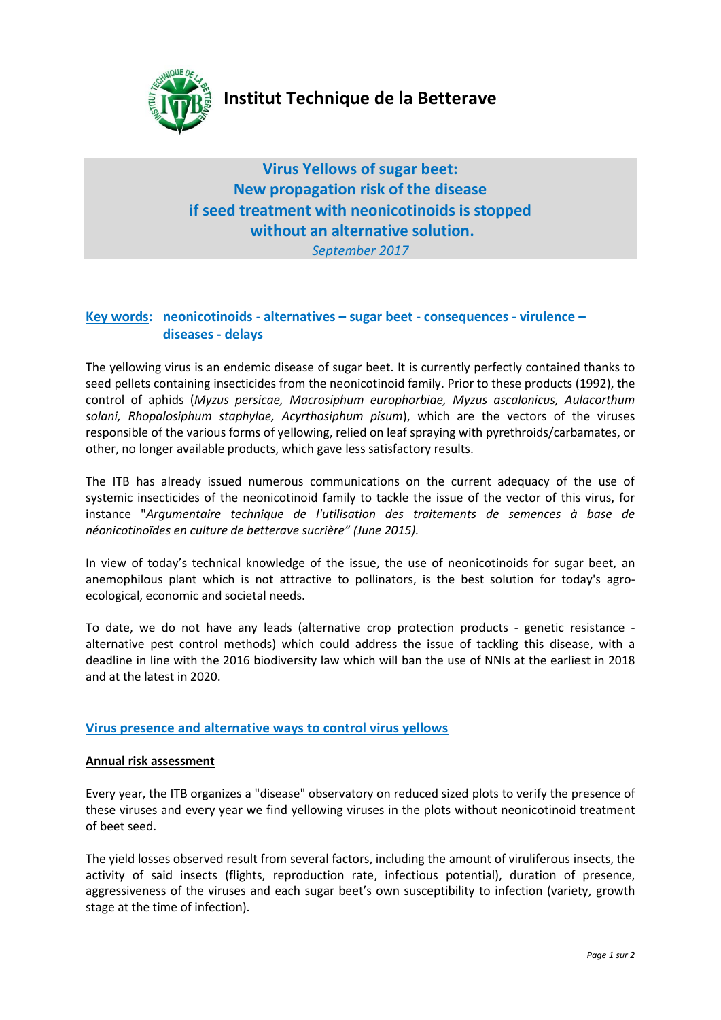

# **Institut Technique de la Betterave**

**Virus Yellows of sugar beet: New propagation risk of the disease if seed treatment with neonicotinoids is stopped without an alternative solution.** *September 2017*

## **Key words: neonicotinoids - alternatives – sugar beet - consequences - virulence – diseases - delays**

The yellowing virus is an endemic disease of sugar beet. It is currently perfectly contained thanks to seed pellets containing insecticides from the neonicotinoid family. Prior to these products (1992), the control of aphids (*Myzus persicae, Macrosiphum europhorbiae, Myzus ascalonicus, Aulacorthum solani, Rhopalosiphum staphylae, Acyrthosiphum pisum*), which are the vectors of the viruses responsible of the various forms of yellowing, relied on leaf spraying with pyrethroids/carbamates, or other, no longer available products, which gave less satisfactory results.

The ITB has already issued numerous communications on the current adequacy of the use of systemic insecticides of the neonicotinoid family to tackle the issue of the vector of this virus, for instance "*Argumentaire technique de l'utilisation des traitements de semences à base de néonicotinoïdes en culture de betterave sucrière" (June 2015).*

In view of today's technical knowledge of the issue, the use of neonicotinoids for sugar beet, an anemophilous plant which is not attractive to pollinators, is the best solution for today's agroecological, economic and societal needs.

To date, we do not have any leads (alternative crop protection products - genetic resistance alternative pest control methods) which could address the issue of tackling this disease, with a deadline in line with the 2016 biodiversity law which will ban the use of NNIs at the earliest in 2018 and at the latest in 2020.

## **Virus presence and alternative ways to control virus yellows**

#### **Annual risk assessment**

Every year, the ITB organizes a "disease" observatory on reduced sized plots to verify the presence of these viruses and every year we find yellowing viruses in the plots without neonicotinoid treatment of beet seed.

The yield losses observed result from several factors, including the amount of viruliferous insects, the activity of said insects (flights, reproduction rate, infectious potential), duration of presence, aggressiveness of the viruses and each sugar beet's own susceptibility to infection (variety, growth stage at the time of infection).